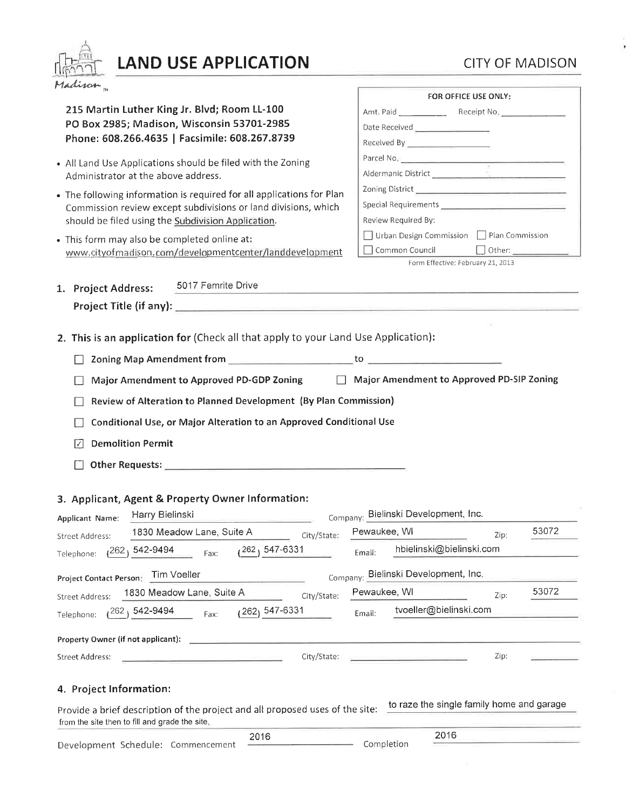# LAND USE APPLICATION

# **CITY OF MADISON**

| Madison <sub>n</sub>                                                                                                                                                                                                                 | FOR OFFICE USE ONLY:                                                                                           |
|--------------------------------------------------------------------------------------------------------------------------------------------------------------------------------------------------------------------------------------|----------------------------------------------------------------------------------------------------------------|
| 215 Martin Luther King Jr. Blvd; Room LL-100                                                                                                                                                                                         |                                                                                                                |
| PO Box 2985; Madison, Wisconsin 53701-2985<br>Phone: 608.266.4635   Facsimile: 608.267.8739                                                                                                                                          |                                                                                                                |
|                                                                                                                                                                                                                                      | Received By <b>Acceleration</b>                                                                                |
|                                                                                                                                                                                                                                      |                                                                                                                |
| • All Land Use Applications should be filed with the Zoning<br>Administrator at the above address.                                                                                                                                   | Parcel No. 2008 2009 2009 2010 2021 2022 2023 2024 2022 2023 2024 2022 2023 2024 2022 2023 2024 2025 2026 2027 |
|                                                                                                                                                                                                                                      |                                                                                                                |
| • The following information is required for all applications for Plan<br>Commission review except subdivisions or land divisions, which<br>should be filed using the Subdivision Application.                                        |                                                                                                                |
|                                                                                                                                                                                                                                      | Review Required By:                                                                                            |
| • This form may also be completed online at:                                                                                                                                                                                         | □ Urban Design Commission □ Plan Commission                                                                    |
| www.cityofmadison.com/developmentcenter/landdevelopment                                                                                                                                                                              | Common Council<br>$\Box$ Other:                                                                                |
|                                                                                                                                                                                                                                      | Form Effective: February 21, 2013                                                                              |
| 5017 Femrite Drive<br>1. Project Address:                                                                                                                                                                                            |                                                                                                                |
|                                                                                                                                                                                                                                      |                                                                                                                |
| Project Title (if any): <u>Containing the Community of the Community of the Community of the Community of the Community of the Community of the Community of the Community of the Community of the Community of the Community of</u> |                                                                                                                |
|                                                                                                                                                                                                                                      |                                                                                                                |
| 2. This is an application for (Check all that apply to your Land Use Application):                                                                                                                                                   |                                                                                                                |
|                                                                                                                                                                                                                                      |                                                                                                                |
| Major Amendment to Approved PD-GDP Zoning   Najor Amendment to Approved PD-SIP Zoning                                                                                                                                                |                                                                                                                |
| Review of Alteration to Planned Development (By Plan Commission)                                                                                                                                                                     |                                                                                                                |
|                                                                                                                                                                                                                                      |                                                                                                                |
| Conditional Use, or Major Alteration to an Approved Conditional Use                                                                                                                                                                  |                                                                                                                |
| <b>Demolition Permit</b><br>Ⅳ                                                                                                                                                                                                        |                                                                                                                |
|                                                                                                                                                                                                                                      |                                                                                                                |
|                                                                                                                                                                                                                                      |                                                                                                                |
| 3. Applicant, Agent & Property Owner Information:                                                                                                                                                                                    |                                                                                                                |
| Harry Bielinski                                                                                                                                                                                                                      | Company: Bielinski Development, Inc.                                                                           |
| Applicant Name:<br>the contract of the contract of the contract of the contract of the                                                                                                                                               | 53072                                                                                                          |
| 1830 Meadow Lane, Suite A<br>City/State:<br><b>Street Address:</b>                                                                                                                                                                   | Pewaukee, WI<br>Zip:                                                                                           |
| 262, 547-6331<br>$1262, 542 - 9494$<br>Fax:<br>Telephone:                                                                                                                                                                            | hbielinski@bielinski.com<br>Email:                                                                             |
| Project Contact Person: Tim Voeller                                                                                                                                                                                                  | Company: Bielinski Development, Inc.                                                                           |
| 1830 Meadow Lane, Suite A<br>City/State:<br><b>Street Address:</b>                                                                                                                                                                   | 53072<br>Pewaukee, WI<br>Zip:                                                                                  |
| (262) 547-6331<br>262, 542-9494<br>Fax:<br>Telephone:                                                                                                                                                                                | tvoeller@bielinski.com<br>Email:                                                                               |
|                                                                                                                                                                                                                                      |                                                                                                                |
| Property Owner (if not applicant):                                                                                                                                                                                                   |                                                                                                                |
|                                                                                                                                                                                                                                      |                                                                                                                |
| City/State:<br>Street Address:                                                                                                                                                                                                       | Zip:<br>and the company's company's company's                                                                  |
|                                                                                                                                                                                                                                      |                                                                                                                |
|                                                                                                                                                                                                                                      |                                                                                                                |
| 4. Project Information:                                                                                                                                                                                                              |                                                                                                                |
| Provide a brief description of the project and all proposed uses of the site:                                                                                                                                                        | to raze the single family home and garage                                                                      |
| from the site then to fill and grade the site.<br>2016<br>Development Schedule: Commencement                                                                                                                                         | 2016<br>Completion                                                                                             |